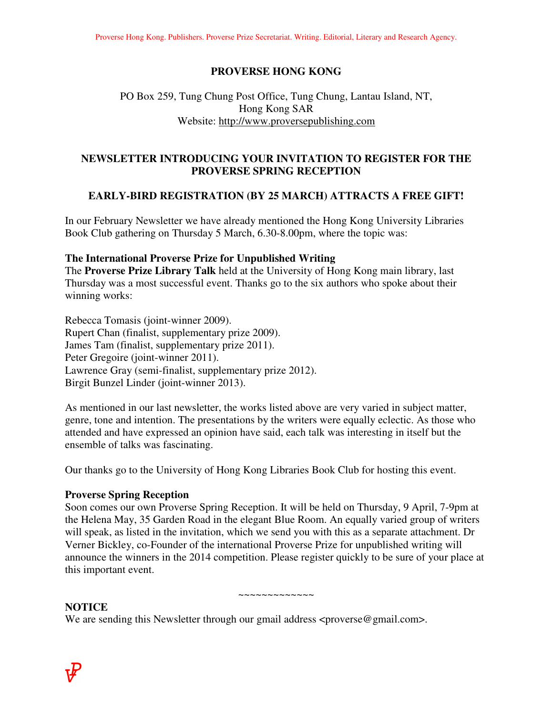## **PROVERSE HONG KONG**

# PO Box 259, Tung Chung Post Office, Tung Chung, Lantau Island, NT, Hong Kong SAR Website: http://www.proversepublishing.com

# **NEWSLETTER INTRODUCING YOUR INVITATION TO REGISTER FOR THE PROVERSE SPRING RECEPTION**

## **EARLY-BIRD REGISTRATION (BY 25 MARCH) ATTRACTS A FREE GIFT!**

In our February Newsletter we have already mentioned the Hong Kong University Libraries Book Club gathering on Thursday 5 March, 6.30-8.00pm, where the topic was:

### **The International Proverse Prize for Unpublished Writing**

The **Proverse Prize Library Talk** held at the University of Hong Kong main library, last Thursday was a most successful event. Thanks go to the six authors who spoke about their winning works:

Rebecca Tomasis (joint-winner 2009). Rupert Chan (finalist, supplementary prize 2009). James Tam (finalist, supplementary prize 2011). Peter Gregoire (joint-winner 2011). Lawrence Gray (semi-finalist, supplementary prize 2012). Birgit Bunzel Linder (joint-winner 2013).

As mentioned in our last newsletter, the works listed above are very varied in subject matter, genre, tone and intention. The presentations by the writers were equally eclectic. As those who attended and have expressed an opinion have said, each talk was interesting in itself but the ensemble of talks was fascinating.

Our thanks go to the University of Hong Kong Libraries Book Club for hosting this event.

#### **Proverse Spring Reception**

Soon comes our own Proverse Spring Reception. It will be held on Thursday, 9 April, 7-9pm at the Helena May, 35 Garden Road in the elegant Blue Room. An equally varied group of writers will speak, as listed in the invitation, which we send you with this as a separate attachment. Dr Verner Bickley, co-Founder of the international Proverse Prize for unpublished writing will announce the winners in the 2014 competition. Please register quickly to be sure of your place at this important event.

#### ~~~~~~~~~~~

### **NOTICE**

We are sending this Newsletter through our gmail address <proverse@gmail.com>.